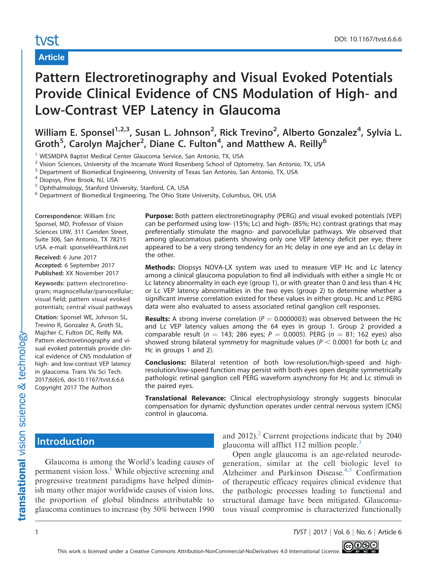## Article

# Pattern Electroretinography and Visual Evoked Potentials Provide Clinical Evidence of CNS Modulation of High- and Low-Contrast VEP Latency in Glaucoma

William E. Sponsel<sup>1,2,3</sup>, Susan L. Johnson<sup>2</sup>, Rick Trevino<sup>2</sup>, Alberto Gonzalez<sup>4</sup>, Sylvia L. Groth<sup>5</sup>, Carolyn Majcher<sup>2</sup>, Diane C. Fulton<sup>4</sup>, and Matthew A. Reilly<sup>6</sup>

<sup>1</sup> WESMDPA Baptist Medical Center Glaucoma Service, San Antonio, TX, USA

<sup>2</sup> Vision Sciences, University of the Incarnate Word Rosenberg School of Optometry, San Antonio, TX, USA

<sup>3</sup> Department of Biomedical Engineering, University of Texas San Antonio, San Antonio, TX, USA

<sup>4</sup> Diopsys, Pine Brook, NJ, USA

<sup>5</sup> Ophthalmology, Stanford University, Stanford, CA, USA

<sup>6</sup> Department of Biomedical Engineering, The Ohio State University, Columbus, OH, USA

Correspondence: William Eric Sponsel, MD, Professor of Vision Sciences UIW, 311 Camden Street, Suite 306, San Antonio, TX 78215 USA. e-mail: sponsel@earthlink.net

Received: 6 June 2017 Accepted: 6 September 2017 Published: XX November 2017

Keywords: pattern electroretinogram; magnocellular/parvocellular; visual field; pattern visual evoked potentials; central visual pathways

Citation: Sponsel WE, Johnson SL, Trevino R, Gonzalez A, Groth SL, Majcher C, Fulton DC, Reilly MA. Pattern electroretinography and visual evoked potentials provide clinical evidence of CNS modulation of high- and low-contrast VEP latency in glaucoma. Trans Vis Sci Tech. 2017;6(6):6, doi:10.1167/tvst.6.6.6 Copyright 2017 The Authors

Purpose: Both pattern electroretinography (PERG) and visual evoked potentials (VEP) can be performed using low- (15%; Lc) and high- (85%; Hc) contrast gratings that may preferentially stimulate the magno- and parvocellular pathways. We observed that among glaucomatous patients showing only one VEP latency deficit per eye, there appeared to be a very strong tendency for an Hc delay in one eye and an Lc delay in the other.

Methods: Diopsys NOVA-LX system was used to measure VEP Hc and Lc latency among a clinical glaucoma population to find all individuals with either a single Hc or Lc latency abnormality in each eye (group 1), or with greater than 0 and less than 4 Hc or Lc VEP latency abnormalities in the two eyes (group 2) to determine whether a significant inverse correlation existed for these values in either group. Hc and Lc PERG data were also evaluated to assess associated retinal ganglion cell responses.

**Results:** A strong inverse correlation ( $P = 0.0000003$ ) was observed between the Hc and Lc VEP latency values among the 64 eyes in group 1. Group 2 provided a comparable result ( $n = 143$ ; 286 eyes;  $P = 0.0005$ ). PERG ( $n = 81$ ; 162 eyes) also showed strong bilateral symmetry for magnitude values ( $P < 0.0001$  for both Lc and Hc in groups 1 and 2).

Conclusions: Bilateral retention of both low-resolution/high-speed and highresolution/low-speed function may persist with both eyes open despite symmetrically pathologic retinal ganglion cell PERG waveform asynchrony for Hc and Lc stimuli in the paired eyes.

**Translational Relevance:** Clinical electrophysiology strongly suggests binocular compensation for dynamic dysfunction operates under central nervous system (CNS) control in glaucoma.

# Introduction

Glaucoma is among the World's leading causes of permanent vision loss.<sup>[1](#page-8-0)</sup> While objective screening and progressive treatment paradigms have helped diminish many other major worldwide causes of vision loss, the proportion of global blindness attributable to glaucoma continues to increase (by 50% between 1990

and  $2012$ ).<sup>2</sup> Current projections indicate that by 2040 glaucoma will afflict  $112$  million people.<sup>3</sup>

Open angle glaucoma is an age-related neurodegeneration, similar at the cell biologic level to Alzheimer and Parkinson Disease.<sup>[4,5](#page-8-0)</sup> Confirmation of therapeutic efficacy requires clinical evidence that the pathologic processes leading to functional and structural damage have been mitigated. Glaucomatous visual compromise is characterized functionally

```
1 TVST j 2017 j Vol. 6 j No. 6 j Article 6
```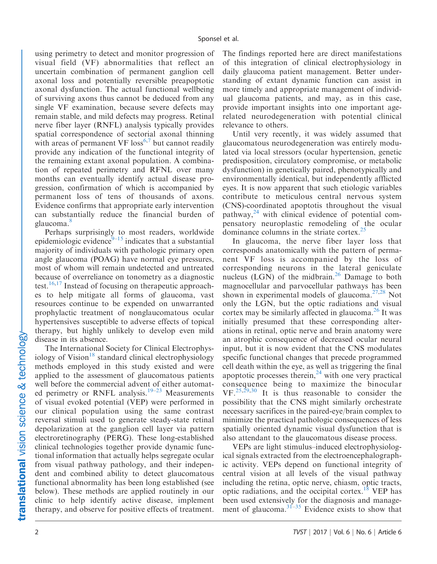using perimetry to detect and monitor progression of visual field (VF) abnormalities that reflect an uncertain combination of permanent ganglion cell axonal loss and potentially reversible preapoptotic axonal dysfunction. The actual functional wellbeing of surviving axons thus cannot be deduced from any single VF examination, because severe defects may remain stable, and mild defects may progress. Retinal nerve fiber layer (RNFL) analysis typically provides spatial correspondence of sectorial axonal thinning with areas of permanent VF  $loss<sup>6,7</sup>$  $loss<sup>6,7</sup>$  $loss<sup>6,7</sup>$  $loss<sup>6,7</sup>$  but cannot readily provide any indication of the functional integrity of the remaining extant axonal population. A combination of repeated perimetry and RFNL over many months can eventually identify actual disease progression, confirmation of which is accompanied by permanent loss of tens of thousands of axons. Evidence confirms that appropriate early intervention can substantially reduce the financial burden of glaucoma.<sup>8</sup>

Perhaps surprisingly to most readers, worldwide epidemiologic evidence $9-15$  indicates that a substantial majority of individuals with pathologic primary open angle glaucoma (POAG) have normal eye pressures, most of whom will remain undetected and untreated because of overreliance on tonometry as a diagnostic test.<sup>[16](#page-9-0),[17](#page-9-0)</sup> Instead of focusing on the rapeutic approaches to help mitigate all forms of glaucoma, vast resources continue to be expended on unwarranted prophylactic treatment of nonglaucomatous ocular hypertensives susceptible to adverse effects of topical therapy, but highly unlikely to develop even mild disease in its absence.

The International Society for Clinical Electrophys-iology of Vision<sup>[18](#page-9-0)</sup> standard clinical electrophysiology methods employed in this study existed and were applied to the assessment of glaucomatous patients well before the commercial advent of either automated perimetry or RNFL analysis.<sup>19–23</sup> Measurements of visual evoked potential (VEP) were performed in our clinical population using the same contrast reversal stimuli used to generate steady-state retinal depolarization at the ganglion cell layer via pattern electroretinography (PERG). These long-established clinical technologies together provide dynamic functional information that actually helps segregate ocular from visual pathway pathology, and their independent and combined ability to detect glaucomatous functional abnormality has been long established (see below). These methods are applied routinely in our clinic to help identify active disease, implement therapy, and observe for positive effects of treatment.

The findings reported here are direct manifestations of this integration of clinical electrophysiology in daily glaucoma patient management. Better understanding of extant dynamic function can assist in more timely and appropriate management of individual glaucoma patients, and may, as in this case, provide important insights into one important agerelated neurodegeneration with potential clinical relevance to others.

Until very recently, it was widely assumed that glaucomatous neurodegeneration was entirely modulated via local stressors (ocular hypertension, genetic predisposition, circulatory compromise, or metabolic dysfunction) in genetically paired, phenotypically and environmentally identical, but independently afflicted eyes. It is now apparent that such etiologic variables contribute to meticulous central nervous system (CNS)-coordinated apoptotis throughout the visual pathway, $24$  with clinical evidence of potential compensatory neuroplastic remodeling of the ocular dominance columns in the striate cortex.[25](#page-9-0)

In glaucoma, the nerve fiber layer loss that corresponds anatomically with the pattern of permanent VF loss is accompanied by the loss of corresponding neurons in the lateral geniculate nucleus (LGN) of the midbrain.<sup>26</sup> Damage to both magnocellular and parvocellular pathways has been shown in experimental models of glaucoma.<sup>[27,28](#page-9-0)</sup> Not only the LGN, but the optic radiations and visual cortex may be similarly affected in glaucoma.<sup>[26](#page-9-0)</sup> It was initially presumed that these corresponding alterations in retinal, optic nerve and brain anatomy were an atrophic consequence of decreased ocular neural input, but it is now evident that the CNS modulates specific functional changes that precede programmed cell death within the eye, as well as triggering the final apoptotic processes therein, $24$  with one very practical consequence being to maximize the binocular  $VF<sup>25,29,30</sup>$  $VF<sup>25,29,30</sup>$  $VF<sup>25,29,30</sup>$  $VF<sup>25,29,30</sup>$  $VF<sup>25,29,30</sup>$  It is thus reasonable to consider the possibility that the CNS might similarly orchestrate necessary sacrifices in the paired-eye/brain complex to minimize the practical pathologic consequences of less spatially oriented dynamic visual dysfunction that is also attendant to the glaucomatous disease process.

VEPs are light stimulus–induced electrophysiological signals extracted from the electroencephalographic activity. VEPs depend on functional integrity of central vision at all levels of the visual pathway including the retina, optic nerve, chiasm, optic tracts, optic radiations, and the occipital cortex.<sup>18</sup> VEP has been used extensively for the diagnosis and management of glaucoma. $31-35$  $31-35$  Evidence exists to show that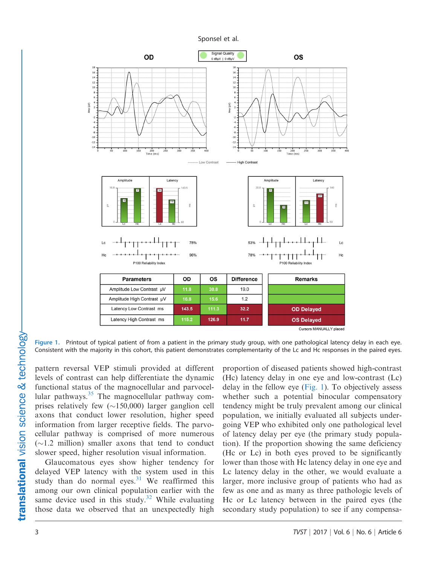<span id="page-2-0"></span>

Figure 1. Printout of typical patient of from a patient in the primary study group, with one pathological latency delay in each eye. Consistent with the majority in this cohort, this patient demonstrates complementarity of the Lc and Hc responses in the paired eyes.

pattern reversal VEP stimuli provided at different levels of contrast can help differentiate the dynamic functional status of the magnocellular and parvocellular pathways. $35$  The magnocellular pathway comprises relatively few  $(\sim 150,000)$  larger ganglion cell axons that conduct lower resolution, higher speed information from larger receptive fields. The parvocellular pathway is comprised of more numerous  $(\sim1.2 \text{ million})$  smaller axons that tend to conduct slower speed, higher resolution visual information.

Glaucomatous eyes show higher tendency for delayed VEP latency with the system used in this study than do normal eyes.<sup>31</sup> We reaffirmed this among our own clinical population earlier with the same device used in this study. $32$  While evaluating those data we observed that an unexpectedly high

proportion of diseased patients showed high-contrast (Hc) latency delay in one eye and low-contrast (Lc) delay in the fellow eye (Fig. 1). To objectively assess whether such a potential binocular compensatory tendency might be truly prevalent among our clinical population, we initially evaluated all subjects undergoing VEP who exhibited only one pathological level of latency delay per eye (the primary study population). If the proportion showing the same deficiency (Hc or Lc) in both eyes proved to be significantly lower than those with Hc latency delay in one eye and Lc latency delay in the other, we would evaluate a larger, more inclusive group of patients who had as few as one and as many as three pathologic levels of Hc or Lc latency between in the paired eyes (the secondary study population) to see if any compensa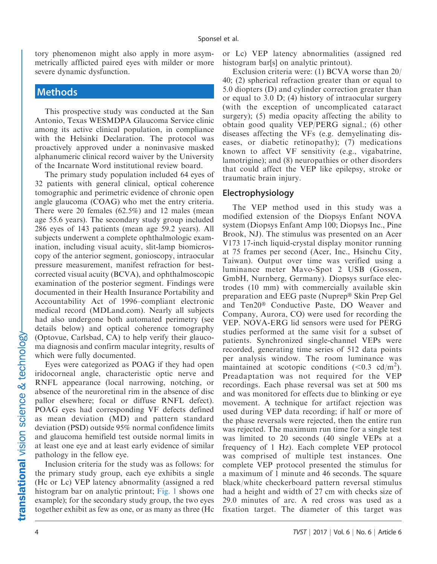tory phenomenon might also apply in more asymmetrically afflicted paired eyes with milder or more severe dynamic dysfunction.

## **Methods**

This prospective study was conducted at the San Antonio, Texas WESMDPA Glaucoma Service clinic among its active clinical population, in compliance with the Helsinki Declaration. The protocol was proactively approved under a noninvasive masked alphanumeric clinical record waiver by the University of the Incarnate Word institutional review board.

The primary study population included 64 eyes of 32 patients with general clinical, optical coherence tomographic and perimetric evidence of chronic open angle glaucoma (COAG) who met the entry criteria. There were 20 females (62.5%) and 12 males (mean age 55.6 years). The secondary study group included 286 eyes of 143 patients (mean age 59.2 years). All subjects underwent a complete ophthalmologic examination, including visual acuity, slit-lamp biomicroscopy of the anterior segment, gonioscopy, intraocular pressure measurement, manifest refraction for bestcorrected visual acuity (BCVA), and ophthalmoscopic examination of the posterior segment. Findings were documented in their Health Insurance Portability and Accountability Act of 1996–compliant electronic medical record (MDLand.com). Nearly all subjects had also undergone both automated perimetry (see details below) and optical coherence tomography (Optovue, Carlsbad, CA) to help verify their glaucoma diagnosis and confirm macular integrity, results of which were fully documented.

Eyes were categorized as POAG if they had open iridocorneal angle, characteristic optic nerve and RNFL appearance (local narrowing, notching, or absence of the neuroretinal rim in the absence of disc pallor elsewhere; focal or diffuse RNFL defect). POAG eyes had corresponding VF defects defined as mean deviation (MD) and pattern standard deviation (PSD) outside 95% normal confidence limits and glaucoma hemifield test outside normal limits in at least one eye and at least early evidence of similar pathology in the fellow eye.

Inclusion criteria for the study was as follows: for the primary study group, each eye exhibits a single (Hc or Lc) VEP latency abnormality (assigned a red histogram bar on analytic printout; [Fig. 1](#page-2-0) shows one example); for the secondary study group, the two eyes together exhibit as few as one, or as many as three (Hc

or Lc) VEP latency abnormalities (assigned red histogram bar[s] on analytic printout).

Exclusion criteria were: (1) BCVA worse than 20/ 40; (2) spherical refraction greater than or equal to 5.0 diopters (D) and cylinder correction greater than or equal to 3.0 D; (4) history of intraocular surgery (with the exception of uncomplicated cataract surgery); (5) media opacity affecting the ability to obtain good quality VEP/PERG signal.; (6) other diseases affecting the VFs (e.g. demyelinating diseases, or diabetic retinopathy); (7) medications known to affect VF sensitivity (e.g., vigabatrine, lamotrigine); and (8) neuropathies or other disorders that could affect the VEP like epilepsy, stroke or traumatic brain injury.

## Electrophysiology

The VEP method used in this study was a modified extension of the Diopsys Enfant NOVA system (Diopsys Enfant Amp 100; Diopsys Inc., Pine Brook, NJ). The stimulus was presented on an Acer V173 17-inch liquid-crystal display monitor running at 75 frames per second (Acer, Inc., Hsinchu City, Taiwan). Output over time was verified using a luminance meter Mavo-Spot 2 USB (Gossen, GmbH, Nurnberg, Germany). Diopsys surface electrodes (10 mm) with commercially available skin preparation and EEG paste (Nuprep® Skin Prep Gel and Ten20® Conductive Paste, DO Weaver and Company, Aurora, CO) were used for recording the VEP. NOVA-ERG lid sensors were used for PERG studies performed at the same visit for a subset of patients. Synchronized single-channel VEPs were recorded, generating time series of 512 data points per analysis window. The room luminance was maintained at scotopic conditions  $(<0.3$  cd/m<sup>2</sup>). Preadaptation was not required for the VEP recordings. Each phase reversal was set at 500 ms and was monitored for effects due to blinking or eye movement. A technique for artifact rejection was used during VEP data recording; if half or more of the phase reversals were rejected, then the entire run was rejected. The maximum run time for a single test was limited to 20 seconds (40 single VEPs at a frequency of 1 Hz). Each complete VEP protocol was comprised of multiple test instances. One complete VEP protocol presented the stimulus for a maximum of 1 minute and 46 seconds. The square black/white checkerboard pattern reversal stimulus had a height and width of 27 cm with checks size of 29.0 minutes of arc. A red cross was used as a fixation target. The diameter of this target was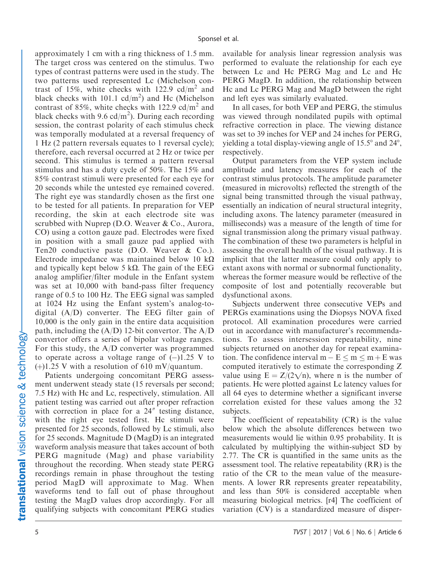approximately 1 cm with a ring thickness of 1.5 mm. The target cross was centered on the stimulus. Two types of contrast patterns were used in the study. The two patterns used represented Lc (Michelson contrast of 15%, white checks with 122.9  $cd/m^2$  and black checks with 101.1  $cd/m<sup>2</sup>$  and Hc (Michelson contrast of 85%, white checks with 122.9 cd/m<sup>2</sup> and black checks with 9.6 cd/m<sup>2</sup>). During each recording session, the contrast polarity of each stimulus check was temporally modulated at a reversal frequency of 1 Hz (2 pattern reversals equates to 1 reversal cycle); therefore, each reversal occurred at 2 Hz or twice per second. This stimulus is termed a pattern reversal stimulus and has a duty cycle of 50%. The 15% and 85% contrast stimuli were presented for each eye for 20 seconds while the untested eye remained covered. The right eye was standardly chosen as the first one to be tested for all patients. In preparation for VEP recording, the skin at each electrode site was scrubbed with Nuprep (D.O. Weaver & Co., Aurora, CO) using a cotton gauze pad. Electrodes were fixed in position with a small gauze pad applied with Ten20 conductive paste (D.O. Weaver & Co.). Electrode impedance was maintained below 10  $k\Omega$ and typically kept below 5 k $\Omega$ . The gain of the EEG analog amplifier/filter module in the Enfant system was set at 10,000 with band-pass filter frequency range of 0.5 to 100 Hz. The EEG signal was sampled at 1024 Hz using the Enfant system's analog-todigital (A/D) converter. The EEG filter gain of 10,000 is the only gain in the entire data acquisition path, including the  $(A/D)$  12-bit convertor. The  $A/D$ convertor offers a series of bipolar voltage ranges. For this study, the A/D converter was programmed to operate across a voltage range of  $(-)1.25$  V to  $(+)1.25$  V with a resolution of 610 mV/quantum.

Patients undergoing concomitant PERG assessment underwent steady state (15 reversals per second; 7.5 Hz) with Hc and Lc, respectively, stimulation. All patient testing was carried out after proper refraction with correction in place for a  $24''$  testing distance, with the right eye tested first. Hc stimuli were presented for 25 seconds, followed by Lc stimuli, also for 25 seconds. Magnitude D (MagD) is an integrated waveform analysis measure that takes account of both PERG magnitude (Mag) and phase variability throughout the recording. When steady state PERG recordings remain in phase throughout the testing period MagD will approximate to Mag. When waveforms tend to fall out of phase throughout testing the MagD values drop accordingly. For all qualifying subjects with concomitant PERG studies

available for analysis linear regression analysis was performed to evaluate the relationship for each eye between Lc and Hc PERG Mag and Lc and Hc PERG MagD. In addition, the relationship between Hc and Lc PERG Mag and MagD between the right and left eyes was similarly evaluated.

In all cases, for both VEP and PERG, the stimulus was viewed through nondilated pupils with optimal refractive correction in place. The viewing distance was set to 39 inches for VEP and 24 inches for PERG, yielding a total display-viewing angle of  $15.5^{\circ}$  and  $24^{\circ}$ , respectively.

Output parameters from the VEP system include amplitude and latency measures for each of the contrast stimulus protocols. The amplitude parameter (measured in microvolts) reflected the strength of the signal being transmitted through the visual pathway, essentially an indication of neural structural integrity, including axons. The latency parameter (measured in milliseconds) was a measure of the length of time for signal transmission along the primary visual pathway. The combination of these two parameters is helpful in assessing the overall health of the visual pathway. It is implicit that the latter measure could only apply to extant axons with normal or subnormal functionality, whereas the former measure would be reflective of the composite of lost and potentially recoverable but dysfunctional axons.

Subjects underwent three consecutive VEPs and PERGs examinations using the Diopsys NOVA fixed protocol. All examination procedures were carried out in accordance with manufacturer's recommendations. To assess intersession repeatability, nine subjects returned on another day for repeat examination. The confidence interval  $m - E \le m \le m + E$  was computed iteratively to estimate the corresponding Z value using  $E = Z/(2\sqrt{n})$ , where n is the number of patients. Hc were plotted against Lc latency values for all 64 eyes to determine whether a significant inverse correlation existed for these values among the 32 subjects.

The coefficient of repeatability (CR) is the value below which the absolute differences between two measurements would lie within 0.95 probability. It is calculated by multiplying the within-subject SD by 2.77. The CR is quantified in the same units as the assessment tool. The relative repeatability (RR) is the ratio of the CR to the mean value of the measurements. A lower RR represents greater repeatability, and less than 50% is considered acceptable when measuring biological metrics. [r4] The coefficient of variation (CV) is a standardized measure of disper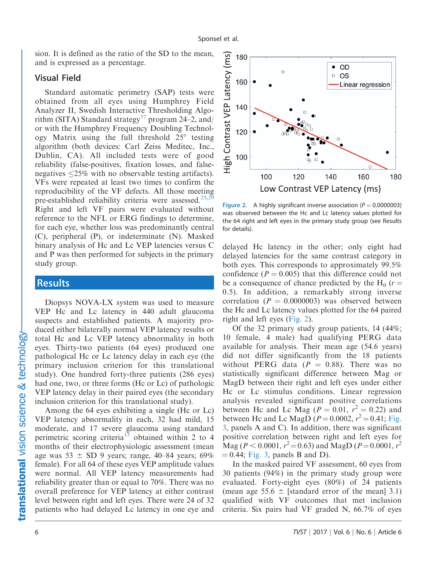sion. It is defined as the ratio of the SD to the mean, and is expressed as a percentage.

#### Visual Field

Standard automatic perimetry (SAP) tests were obtained from all eyes using Humphrey Field Analyzer II, Swedish Interactive Thresholding Algo-rithm (SITA) Standard strategy<sup>[37](#page-10-0)</sup> program  $24-2$ , and/ or with the Humphrey Frequency Doubling Technology Matrix using the full threshold  $25^{\circ}$  testing algorithm (both devices: Carl Zeiss Meditec, Inc., Dublin, CA). All included tests were of good reliability (false-positives, fixation losses, and falsenegatives 25% with no observable testing artifacts). VFs were repeated at least two times to confirm the reproducibility of the VF defects. All those meeting pre-established reliability criteria were assessed[.25,29](#page-9-0) Right and left VF pairs were evaluated without reference to the NFL or ERG findings to determine, for each eye, whether loss was predominantly central (C), peripheral (P), or indeterminate (N). Masked binary analysis of Hc and Lc VEP latencies versus C and P was then performed for subjects in the primary study group.

#### **Results**

Diopsys NOVA-LX system was used to measure VEP Hc and Lc latency in 440 adult glaucoma suspects and established patients. A majority produced either bilaterally normal VEP latency results or total Hc and Lc VEP latency abnormality in both eyes. Thirty-two patients (64 eyes) produced one pathological Hc or Lc latency delay in each eye (the primary inclusion criterion for this translational study). One hundred forty-three patients (286 eyes) had one, two, or three forms (Hc or Lc) of pathologic VEP latency delay in their paired eyes (the secondary inclusion criterion for this translational study).

Among the 64 eyes exhibiting a single (Hc or Lc) VEP latency abnormality in each, 32 had mild, 15 moderate, and 17 severe glaucoma using standard perimetric scoring criteria<sup>[15](#page-9-0)</sup> obtained within 2 to 4 months of their electrophysiologic assessment (mean age was  $53 \pm SD$  9 years; range, 40–84 years; 69% female). For all 64 of these eyes VEP amplitude values were normal. All VEP latency measurements had reliability greater than or equal to 70%. There was no overall preference for VEP latency at either contrast level between right and left eyes. There were 24 of 32 patients who had delayed Lc latency in one eye and



Figure 2. A highly significant inverse association ( $P = 0.0000003$ ) was observed between the Hc and Lc latency values plotted for the 64 right and left eyes in the primary study group (see Results for details).

delayed Hc latency in the other; only eight had delayed latencies for the same contrast category in both eyes. This corresponds to approximately 99.5% confidence ( $P = 0.005$ ) that this difference could not be a consequence of chance predicted by the  $H_0$  (r = 0.5). In addition, a remarkably strong inverse correlation ( $P = 0.0000003$ ) was observed between the Hc and Lc latency values plotted for the 64 paired right and left eyes (Fig. 2).

Of the 32 primary study group patients, 14 (44%; 10 female, 4 male) had qualifying PERG data available for analysis. Their mean age (54.6 years) did not differ significantly from the 18 patients without PERG data  $(P = 0.88)$ . There was no statistically significant difference between Mag or MagD between their right and left eyes under either Hc or Lc stimulus conditions. Linear regression analysis revealed significant positive correlations between Hc and Lc Mag ( $P = 0.01$ ,  $r^2 = 0.22$ ) and between Hc and Lc MagD  $(P = 0.0002, r^2 = 0.41;$  [Fig.](#page-6-0) [3](#page-6-0), panels A and C). In addition, there was significant positive correlation between right and left eyes for  $\text{Mag}$  ( $P < 0.0001$ ,  $r^2 = 0.63$ ) and  $\text{MagD}$  ( $P = 0.0001$ ,  $r^2$  $= 0.44$ ; [Fig. 3,](#page-6-0) panels B and D).

In the masked paired VF assessment, 60 eyes from 30 patients (94%) in the primary study group were evaluated. Forty-eight eyes (80%) of 24 patients (mean age 55.6  $\pm$  [standard error of the mean] 3.1) qualified with VF outcomes that met inclusion criteria. Six pairs had VF graded N, 66.7% of eyes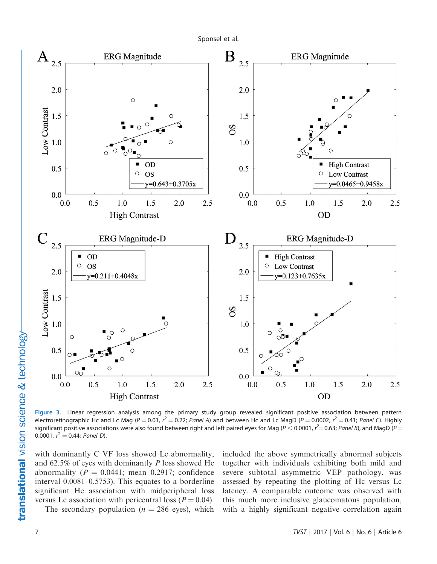Sponsel et al.

<span id="page-6-0"></span>

Figure 3. Linear regression analysis among the primary study group revealed significant positive association between pattern electroretinographic Hc and Lc Mag ( $P = 0.01$ ,  $r^2 = 0.22$ ; Panel A) and between Hc and Lc MagD ( $P = 0.0002$ ,  $r^2 = 0.41$ ; Panel C). Highly significant positive associations were also found between right and left paired eyes for Mag (P  $<$  0.0001,  $r^{2}=$  0.63; Panel B), and MagD (P  $=$ 0.0001,  $r^2 = 0.44$ ; Panel D).

with dominantly C VF loss showed Lc abnormality, and 62.5% of eyes with dominantly P loss showed Hc abnormality ( $P = 0.0441$ ; mean 0.2917; confidence interval 0.0081–0.5753). This equates to a borderline significant Hc association with midperipheral loss versus Lc association with pericentral loss ( $P = 0.04$ ).

included the above symmetrically abnormal subjects together with individuals exhibiting both mild and severe subtotal asymmetric VEP pathology, was assessed by repeating the plotting of Hc versus Lc latency. A comparable outcome was observed with this much more inclusive glaucomatous population, with a highly significant negative correlation again

The secondary population ( $n = 286$  eyes), which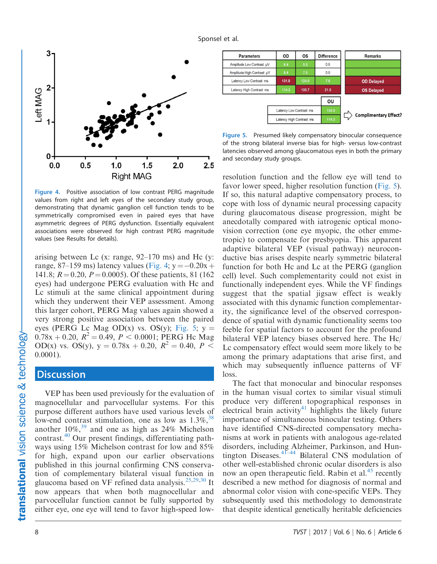

Figure 4. Positive association of low contrast PERG magnitude values from right and left eyes of the secondary study group, demonstrating that dynamic ganglion cell function tends to be symmetrically compromised even in paired eyes that have asymmetric degrees of PERG dysfunction. Essentially equivalent associations were observed for high contrast PERG magnitude values (see Results for details).

arising between Lc (x: range,  $92-170$  ms) and Hc (y: range, 87–159 ms) latency values (Fig. 4;  $y = -0.20x +$ 141.8;  $R = 0.20$ ,  $P = 0.0005$ ). Of these patients, 81 (162) eyes) had undergone PERG evaluation with Hc and Lc stimuli at the same clinical appointment during which they underwent their VEP assessment. Among this larger cohort, PERG Mag values again showed a very strong positive association between the paired eyes (PERG Lc Mag OD(x) vs. OS(y); Fig. 5;  $y =$  $0.78x + 0.20$ ,  $R^2 = 0.49$ ,  $P < 0.0001$ ; PERG Hc Mag OD(x) vs. OS(y),  $y = 0.78x + 0.20$ ,  $R^2 = 0.40$ ,  $P \leq$ 0.0001).

## **Discussion**

VEP has been used previously for the evaluation of magnocellular and parvocellular systems. For this purpose different authors have used various levels of low-end contrast stimulation, one as low as  $1.3\%$ ,  $38$ another  $10\%,^{39}$  $10\%,^{39}$  $10\%,^{39}$  and one as high as 24% Michelson contrast.[40](#page-10-0) Our present findings, differentiating pathways using 15% Michelson contrast for low and 85% for high, expand upon our earlier observations published in this journal confirming CNS conservation of complementary bilateral visual function in glaucoma based on VF refined data analysis.<sup>[25,29](#page-9-0),[30](#page-9-0)</sup> It now appears that when both magnocellular and parvocellular function cannot be fully supported by either eye, one eye will tend to favor high-speed low-



Figure 5. Presumed likely compensatory binocular consequence of the strong bilateral inverse bias for high- versus low-contrast latencies observed among glaucomatous eyes in both the primary and secondary study groups.

resolution function and the fellow eye will tend to favor lower speed, higher resolution function (Fig. 5). If so, this natural adaptive compensatory process, to cope with loss of dynamic neural processing capacity during glaucomatous disease progression, might be anecdotally compared with iatrogenic optical monovision correction (one eye myopic, the other emmetropic) to compensate for presbyopia. This apparent adaptive bilateral VEP (visual pathway) neuroconductive bias arises despite nearly symmetric bilateral function for both Hc and Lc at the PERG (ganglion cell) level. Such complementarity could not exist in functionally independent eyes. While the VF findings suggest that the spatial jigsaw effect is weakly associated with this dynamic function complementarity, the significance level of the observed correspondence of spatial with dynamic functionality seems too feeble for spatial factors to account for the profound bilateral VEP latency biases observed here. The Hc/ Lc compensatory effect would seem more likely to be among the primary adaptations that arise first, and which may subsequently influence patterns of VF loss.

The fact that monocular and binocular responses in the human visual cortex to similar visual stimuli produce very different topographical responses in electrical brain activity<sup>[41](#page-10-0)</sup> highlights the likely future importance of simultaneous binocular testing. Others have identified CNS-directed compensatory mechanisms at work in patients with analogous age-related disorders, including Alzheimer, Parkinson, and Huntington Diseases.[41–44](#page-10-0) Bilateral CNS modulation of other well-established chronic ocular disorders is also now an open therapeutic field. Rabin et al.<sup>[45](#page-10-0)</sup> recently described a new method for diagnosis of normal and abnormal color vision with cone-specific VEPs. They subsequently used this methodology to demonstrate that despite identical genetically heritable deficiencies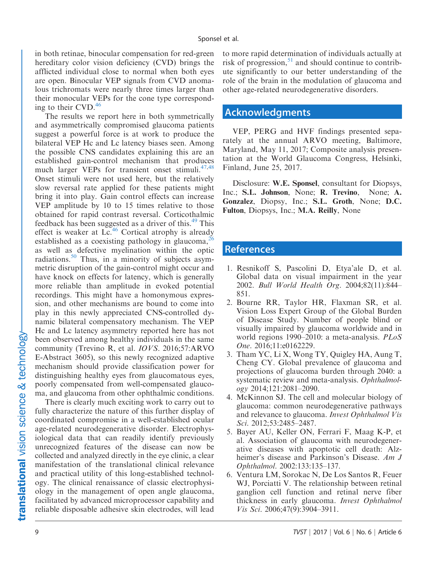<span id="page-8-0"></span>in both retinae, binocular compensation for red-green hereditary color vision deficiency (CVD) brings the afflicted individual close to normal when both eyes are open. Binocular VEP signals from CVD anomalous trichromats were nearly three times larger than their monocular VEPs for the cone type corresponding to their CVD. $46$ 

The results we report here in both symmetrically and asymmetrically compromised glaucoma patients suggest a powerful force is at work to produce the bilateral VEP Hc and Lc latency biases seen. Among the possible CNS candidates explaining this are an established gain-control mechanism that produces much larger VEPs for transient onset stimuli.<sup>47,48</sup> Onset stimuli were not used here, but the relatively slow reversal rate applied for these patients might bring it into play. Gain control effects can increase VEP amplitude by 10 to 15 times relative to those obtained for rapid contrast reversal. Corticothalmic feedback has been suggested as a driver of this.<sup>[49](#page-10-0)</sup> This effect is weaker at  $Lc<sup>46</sup>$  Cortical atrophy is already established as a coexisting pathology in glaucoma,<sup>[26](#page-9-0)</sup> as well as defective myelination within the optic radiations.<sup>50</sup> Thus, in a minority of subjects asymmetric disruption of the gain-control might occur and have knock on effects for latency, which is generally more reliable than amplitude in evoked potential recordings. This might have a homonymous expression, and other mechanisms are bound to come into play in this newly appreciated CNS-controlled dynamic bilateral compensatory mechanism. The VEP Hc and Lc latency asymmetry reported here has not been observed among healthy individuals in the same community (Trevino R, et al. IOVS. 2016;57:ARVO E-Abstract 3605), so this newly recognized adaptive mechanism should provide classification power for distinguishing healthy eyes from glaucomatous eyes, poorly compensated from well-compensated glaucoma, and glaucoma from other ophthalmic conditions.

There is clearly much exciting work to carry out to fully characterize the nature of this further display of coordinated compromise in a well-established ocular age-related neurodegenerative disorder. Electrophysiological data that can readily identify previously unrecognized features of the disease can now be collected and analyzed directly in the eye clinic, a clear manifestation of the translational clinical relevance and practical utility of this long-established technology. The clinical renaissance of classic electrophysiology in the management of open angle glaucoma, facilitated by advanced microprocessor capability and reliable disposable adhesive skin electrodes, will lead

to more rapid determination of individuals actually at risk of progression,  $51$  and should continue to contribute significantly to our better understanding of the role of the brain in the modulation of glaucoma and other age-related neurodegenerative disorders.

# Acknowledgments

VEP, PERG and HVF findings presented separately at the annual ARVO meeting, Baltimore, Maryland, May 11, 2017; Composite analysis presentation at the World Glaucoma Congress, Helsinki, Finland, June 25, 2017.

Disclosure: W.E. Sponsel, consultant for Diopsys, Inc.; S.L. Johnson, None; R. Trevino, None; A. Gonzalez, Diopsy, Inc.; S.L. Groth, None; D.C. Fulton, Diopsys, Inc.; M.A. Reilly, None

# **References**

- 1. Resnikoff S, Pascolini D, Etya'ale D, et al. Global data on visual impairment in the year 2002. Bull World Health Org. 2004;82(11):844– 851.
- 2. Bourne RR, Taylor HR, Flaxman SR, et al. Vision Loss Expert Group of the Global Burden of Disease Study. Number of people blind or visually impaired by glaucoma worldwide and in world regions 1990–2010: a meta-analysis. PLoS One. 2016;11:e0162229.
- 3. Tham YC, Li X, Wong TY, Quigley HA, Aung T, Cheng CY. Global prevalence of glaucoma and projections of glaucoma burden through 2040: a systematic review and meta-analysis. Ophthalmology 2014;121:2081–2090.
- 4. McKinnon SJ. The cell and molecular biology of glaucoma: common neurodegenerative pathways and relevance to glaucoma. Invest Ophthalmol Vis Sci. 2012;53:2485–2487.
- 5. Bayer AU, Keller ON, Ferrari F, Maag K-P, et al. Association of glaucoma with neurodegenerative diseases with apoptotic cell death: Alzheimer's disease and Parkinson's Disease. Am J Ophthalmol. 2002:133:135–137.
- 6. Ventura LM, Sorokac N, De Los Santos R, Feuer WJ, Porciatti V. The relationship between retinal ganglion cell function and retinal nerve fiber thickness in early glaucoma. Invest Ophthalmol Vis Sci. 2006;47(9):3904–3911.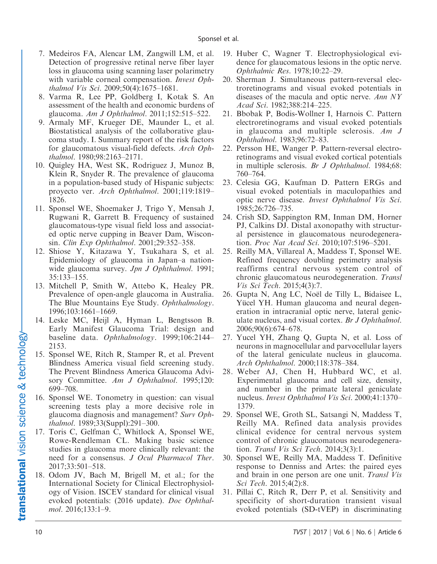- <span id="page-9-0"></span>7. Medeiros FA, Alencar LM, Zangwill LM, et al. Detection of progressive retinal nerve fiber layer loss in glaucoma using scanning laser polarimetry with variable corneal compensation. *Invest Oph*thalmol Vis Sci. 2009;50(4):1675–1681.
- 8. Varma R, Lee PP, Goldberg I, Kotak S. An assessment of the health and economic burdens of glaucoma. Am J Ophthalmol. 2011;152:515–522.
- 9. Armaly MF, Krueger DE, Maunder L, et al. Biostatistical analysis of the collaborative glaucoma study. I. Summary report of the risk factors for glaucomatous visual-field defects. Arch Ophthalmol. 1980;98:2163–2171.
- 10. Quigley HA, West SK, Rodriguez J, Munoz B, Klein R, Snyder R. The prevalence of glaucoma in a population-based study of Hispanic subjects: proyecto ver. Arch Ophthalmol. 2001;119:1819– 1826.
- 11. Sponsel WE, Shoemaker J, Trigo Y, Mensah J, Rugwani R, Garrett B. Frequency of sustained glaucomatous-type visual field loss and associated optic nerve cupping in Beaver Dam, Wisconsin. Clin Exp Ophthalmol. 2001;29:352–358.
- 12. Shiose Y, Kitazawa Y, Tsukahara S, et al. Epidemiology of glaucoma in Japan–a nationwide glaucoma survey. Jpn J Ophthalmol. 1991; 35:133–155.
- 13. Mitchell P, Smith W, Attebo K, Healey PR. Prevalence of open-angle glaucoma in Australia. The Blue Mountains Eye Study. Ophthalmology. 1996;103:1661–1669.
- 14. Leske MC, Heijl A, Hyman L, Bengtsson B. Early Manifest Glaucoma Trial: design and baseline data. Ophthalmology. 1999;106:2144– 2153.
- 15. Sponsel WE, Ritch R, Stamper R, et al. Prevent Blindness America visual field screening study. The Prevent Blindness America Glaucoma Advisory Committee. Am J Ophthalmol. 1995;120: 699–708.
- 16. Sponsel WE. Tonometry in question: can visual screening tests play a more decisive role in glaucoma diagnosis and management? Surv Ophthalmol. 1989;33(Suppl):291–300.
- 17. Toris C, Gelfman C, Whitlock A, Sponsel WE, Rowe-Rendleman CL. Making basic science studies in glaucoma more clinically relevant: the need for a consensus. J Ocul Pharmacol Ther. 2017;33:501–518.
- 18. Odom JV, Bach M, Brigell M, et al.; for the International Society for Clinical Electrophysiology of Vision. ISCEV standard for clinical visual evoked potentials: (2016 update). Doc Ophthalmol. 2016;133:1–9.
- 19. Huber C, Wagner T. Electrophysiological evidence for glaucomatous lesions in the optic nerve. Ophthalmic Res. 1978;10:22–29.
- 20. Sherman J. Simultaneous pattern-reversal electroretinograms and visual evoked potentials in diseases of the macula and optic nerve. Ann NY Acad Sci. 1982;388:214–225.
- 21. Bbobak P, Bodis-Wollner I, Harnois C. Pattern electroretinograms and visual evoked potentials in glaucoma and multiple sclerosis. Am J Ophthalmol. 1983;96:72–83.
- 22. Persson HE, Wanger P. Pattern-reversal electroretinograms and visual evoked cortical potentials in multiple sclerosis. Br J Ophthalmol. 1984;68: 760–764.
- 23. Celesia GG, Kaufman D. Pattern ERGs and visual evoked potentials in maculopathies and optic nerve disease. Invest Ophthalmol Vis Sci. 1985;26:726–735.
- 24. Crish SD, Sappington RM, Inman DM, Horner PJ, Calkins DJ. Distal axonopathy with structural persistence in glaucomatous neurodegeneration. Proc Nat Acad Sci. 2010;107:5196–5201.
- 25. Reilly MA, Villareal A, Maddess T, Sponsel WE. Refined frequency doubling perimetry analysis reaffirms central nervous system control of chronic glaucomatous neurodegeneration. Transl Vis Sci Tech. 2015;4(3):7.
- 26. Gupta N, Ang LC, Noël de Tilly L, Bidaisee L, Yücel YH. Human glaucoma and neural degeneration in intracranial optic nerve, lateral geniculate nucleus, and visual cortex. Br J Ophthalmol. 2006;90(6):674–678.
- 27. Yucel YH, Zhang Q, Gupta N, et al. Loss of neurons in magnocellular and parvocellular layers of the lateral geniculate nucleus in glaucoma. Arch Ophthalmol. 2000;118:378–384.
- 28. Weber AJ, Chen H, Hubbard WC, et al. Experimental glaucoma and cell size, density, and number in the primate lateral geniculate nucleus. Invest Ophthalmol Vis Sci. 2000;41:1370– 1379.
- 29. Sponsel WE, Groth SL, Satsangi N, Maddess T, Reilly MA. Refined data analysis provides clinical evidence for central nervous system control of chronic glaucomatous neurodegeneration. Transl Vis Sci Tech. 2014;3(3):1.
- 30. Sponsel WE, Reilly MA, Maddess T. Definitive response to Denniss and Artes: the paired eyes and brain in one person are one unit. Transl Vis Sci Tech. 2015;4(2):8.
- 31. Pillai C, Ritch R, Derr P, et al. Sensitivity and specificity of short-duration transient visual evoked potentials (SD-tVEP) in discriminating